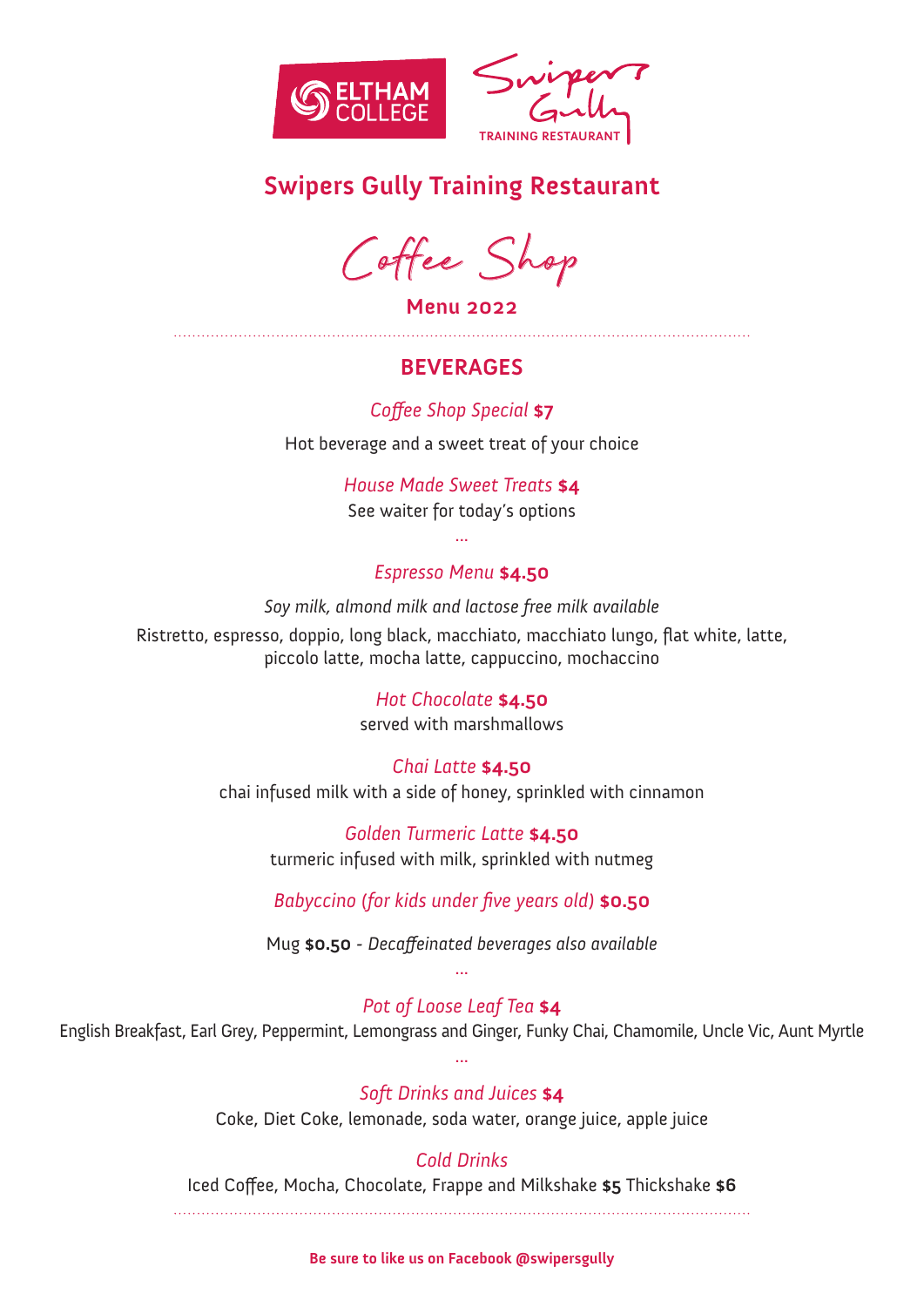

# **Swipers Gully Training Restaurant**

Coffee Shop

**Menu 2022** 

# **BEVERAGES**

*Coffee Shop Special* **\$7**

Hot beverage and a sweet treat of your choice

*House Made Sweet Treats* **\$4** See waiter for today's options

## *Espresso Menu* **\$4.50**

...

*Soy milk, almond milk and lactose free milk available*

Ristretto, espresso, doppio, long black, macchiato, macchiato lungo, flat white, latte, piccolo latte, mocha latte, cappuccino, mochaccino

### *Hot Chocolate* **\$4.50**

served with marshmallows

### *Chai Latte* **\$4.50**

chai infused milk with a side of honey, sprinkled with cinnamon

*Golden Turmeric Latte* **\$4.50** turmeric infused with milk, sprinkled with nutmeg

*Babyccino (for kids under five years old)* **\$0.50** 

Mug **\$0.50** *- Decaffeinated beverages also available* ...

# *Pot of Loose Leaf Tea* **\$4**

English Breakfast, Earl Grey, Peppermint, Lemongrass and Ginger, Funky Chai, Chamomile, Uncle Vic, Aunt Myrtle ...

### *Soft Drinks and Juices* **\$4**

Coke, Diet Coke, lemonade, soda water, orange juice, apple juice

# *Cold Drinks*

Iced Coffee, Mocha, Chocolate, Frappe and Milkshake **\$5** Thickshake **\$6**

#### **Be sure to like us on Facebook @swipersgully**